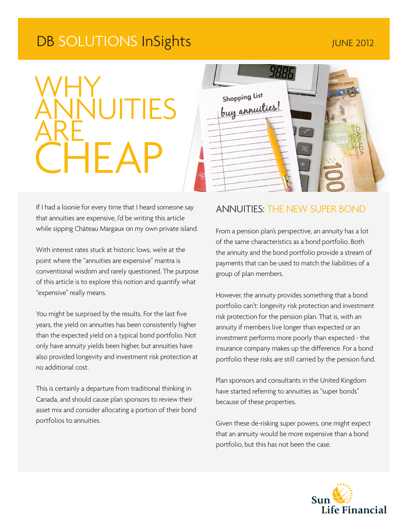# DB SOLUTIONS InSights The Transmission of the United 2012

# WHY **ANNUITIES ARE CHEAP**

If I had a loonie for every time that I heard someone say that annuities are expensive, I'd be writing this article while sipping Château Margaux on my own private island.

With interest rates stuck at historic lows, we're at the point where the "annuities are expensive" mantra is conventional wisdom and rarely questioned. The purpose of this article is to explore this notion and quantify what "expensive" really means.

You might be surprised by the results. For the last five years, the yield on annuities has been consistently higher than the expected yield on a typical bond portfolio. Not only have annuity yields been higher, but annuities have also provided longevity and investment risk protection at no additional cost.

This is certainly a departure from traditional thinking in Canada, and should cause plan sponsors to review their asset mix and consider allocating a portion of their bond portfolios to annuities.



### ANNUITIES: THE NEW SUPER BOND

From a pension plan's perspective, an annuity has a lot of the same characteristics as a bond portfolio. Both the annuity and the bond portfolio provide a stream of payments that can be used to match the liabilities of a group of plan members.

However, the annuity provides something that a bond portfolio can't: longevity risk protection and investment risk protection for the pension plan. That is, with an annuity if members live longer than expected or an investment performs more poorly than expected - the insurance company makes up the difference. For a bond portfolio these risks are still carried by the pension fund.

Plan sponsors and consultants in the United Kingdom have started referring to annuities as "super bonds" because of these properties.

Given these de-risking super powers, one might expect that an annuity would be more expensive than a bond portfolio, but this has not been the case.

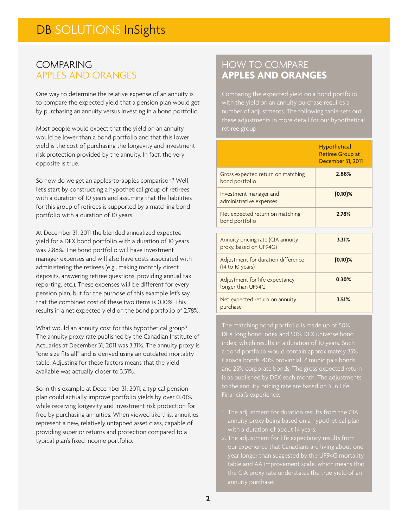#### COMPARING APPLES AND ORANGES

One way to determine the relative expense of an annuity is to compare the expected yield that a pension plan would get by purchasing an annuity versus investing in a bond portfolio.

Most people would expect that the yield on an annuity would be lower than a bond portfolio and that this lower yield is the cost of purchasing the longevity and investment risk protection provided by the annuity. In fact, the very opposite is true.

So how do we get an apples-to-apples comparison? Well, let's start by constructing a hypothetical group of retirees with a duration of 10 years and assuming that the liabilities for this group of retirees is supported by a matching bond portfolio with a duration of 10 years.

At December 31, 2011 the blended annualized expected yield for a DEX bond portfolio with a duration of 10 years was 2.88%. The bond portfolio will have investment manager expenses and will also have costs associated with administering the retirees (e.g., making monthly direct deposits, answering retiree questions, providing annual tax reporting, etc.). These expenses will be different for every pension plan, but for the purpose of this example let's say that the combined cost of these two items is 0.10%. This results in a net expected yield on the bond portfolio of 2.78%.

What would an annuity cost for this hypothetical group? The annuity proxy rate published by the Canadian Institute of Actuaries at December 31, 2011 was 3.31%. The annuity proxy is "one size fits all" and is derived using an outdated mortality table. Adjusting for these factors means that the yield available was actually closer to 3.51%.

So in this example at December 31, 2011, a typical pension plan could actually improve portfolio yields by over 0.70% while receiving longevity and investment risk protection for free by purchasing annuities. When viewed like this, annuities represent a new, relatively untapped asset class, capable of providing superior returns and protection compared to a typical plan's fixed income portfolio.

## HOW TO COMPARE **APPLES AND ORANGES**

number of adjustments. The following table sets out

|                                                             | <b>Hypothetical</b><br><b>Retiree Group at</b><br>December 31, 2011 |
|-------------------------------------------------------------|---------------------------------------------------------------------|
| Gross expected return on matching<br>bond portfolio         | 2.88%                                                               |
| Investment manager and<br>administrative expenses           | $(0.10)\%$                                                          |
| Net expected return on matching<br>bond portfolio           | 2.78%                                                               |
| Annuity pricing rate (CIA annuity<br>proxy, based on UP94G) | 3.31%                                                               |
| Adjustment for duration difference<br>(14 to 10 years)      | $(0.10)\%$                                                          |
| Adjustment for life expectancy<br>longer than UP94G         | 0.30%                                                               |
| Net expected return on annuity<br>purchase                  | 3.51%                                                               |

The matching bond portfolio is made up of 50% DEX long bond index and 50% DEX universe bond index, which results in a duration of 10 years. Such a bond portfolio would contain approximately 35% Canada bonds, 40% provincial  $\angle$  municipals bonds

- annuity proxy being based on a hypothetical plan
- 2. The adjustment for life expectancy results from year longer than suggested by the UP94G mortality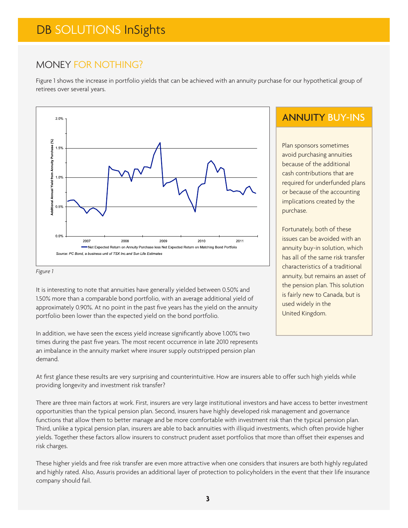# DB SOLUTIONS InSights

## MONEY FOR NOTHING?

Figure 1 shows the increase in portfolio yields that can be achieved with an annuity purchase for our hypothetical group of retirees over several years.



#### *Figure 1*

It is interesting to note that annuities have generally yielded between 0.50% and 1.50% more than a comparable bond portfolio, with an average additional yield of approximately 0.90%. At no point in the past five years has the yield on the annuity portfolio been lower than the expected yield on the bond portfolio.

In addition, we have seen the excess yield increase significantly above 1.00% two times during the past five years. The most recent occurrence in late 2010 represents an imbalance in the annuity market where insurer supply outstripped pension plan demand.

## ANNUITY BUY-INS

Plan sponsors sometimes avoid purchasing annuities because of the additional cash contributions that are required for underfunded plans or because of the accounting implications created by the purchase.

Fortunately, both of these issues can be avoided with an annuity buy-in solution, which has all of the same risk transfer characteristics of a traditional annuity, but remains an asset of the pension plan. This solution is fairly new to Canada, but is used widely in the United Kingdom.

At first glance these results are very surprising and counterintuitive. How are insurers able to offer such high yields while providing longevity and investment risk transfer?

There are three main factors at work. First, insurers are very large institutional investors and have access to better investment opportunities than the typical pension plan. Second, insurers have highly developed risk management and governance functions that allow them to better manage and be more comfortable with investment risk than the typical pension plan. Third, unlike a typical pension plan, insurers are able to back annuities with illiquid investments, which often provide higher yields. Together these factors allow insurers to construct prudent asset portfolios that more than offset their expenses and risk charges.

These higher yields and free risk transfer are even more attractive when one considers that insurers are both highly regulated and highly rated. Also, Assuris provides an additional layer of protection to policyholders in the event that their life insurance company should fail.